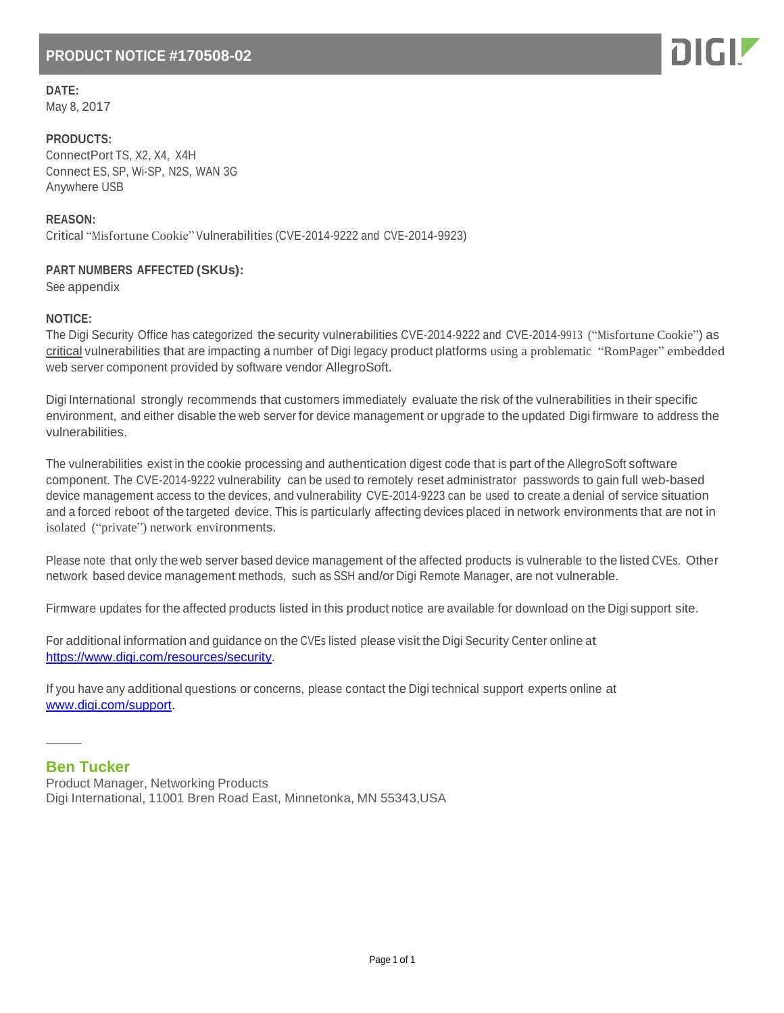## **PRODUCT NOTICE #170508-02**

**DATE:**

May 8, 2017

**PRODUCTS:** ConnectPort TS, X2, X4, X4H Connect ES, SP, Wi-SP, N2S, WAN 3G Anywhere USB

**REASON:** Critical "Misfortune Cookie" Vulnerabilities (CVE-2014-9222 and CVE-2014-9923)

## **PART NUMBERS AFFECTED (SKUs):**

See appendix

## **NOTICE:**

The Digi Security Office has categorized the security vulnerabilities CVE-2014-9222 and CVE-2014-9913 ("Misfortune Cookie") as critical vulnerabilities that are impacting a number of Digi legacy product platforms using a problematic "RomPager" embedded web server component provided by software vendor AllegroSoft.

Digi International strongly recommends that customers immediately evaluate the risk of the vulnerabilities in their specific environment, and either disable the web server for device management or upgrade to the updated Digi firmware to address the vulnerabilities.

The vulnerabilities exist in the cookie processing and authentication digest code that is part of the AllegroSoft software component. The CVE-2014-9222 vulnerability can be used to remotely reset administrator passwords to gain full web-based device management access to the devices, and vulnerability CVE-2014-9223 can be used to create a denial of service situation and a forced reboot of the targeted device. This is particularly affecting devices placed in network environments that are not in isolated ("private") network environments.

Please note that only the web server based device management of the affected products is vulnerable to the listed CVEs. Other network based device management methods, such as SSH and/or Digi Remote Manager, are not vulnerable.

Firmware updates for the affected products listed in this product notice are available for download on the Digi support site.

For additional information and guidance on the CVEs listed please visit the Digi Security Center online at [https://www.digi.com/resources/security.](https://www.digi.com/resources/security)

If you have any additional questions or concerns, please contact the Digi technical support experts online at [www.digi.com/support.](http://www.digi.com/support)

## **Ben Tucker**

Product Manager, Networking Products Digi International, 11001 Bren Road East, Minnetonka, MN 55343,USA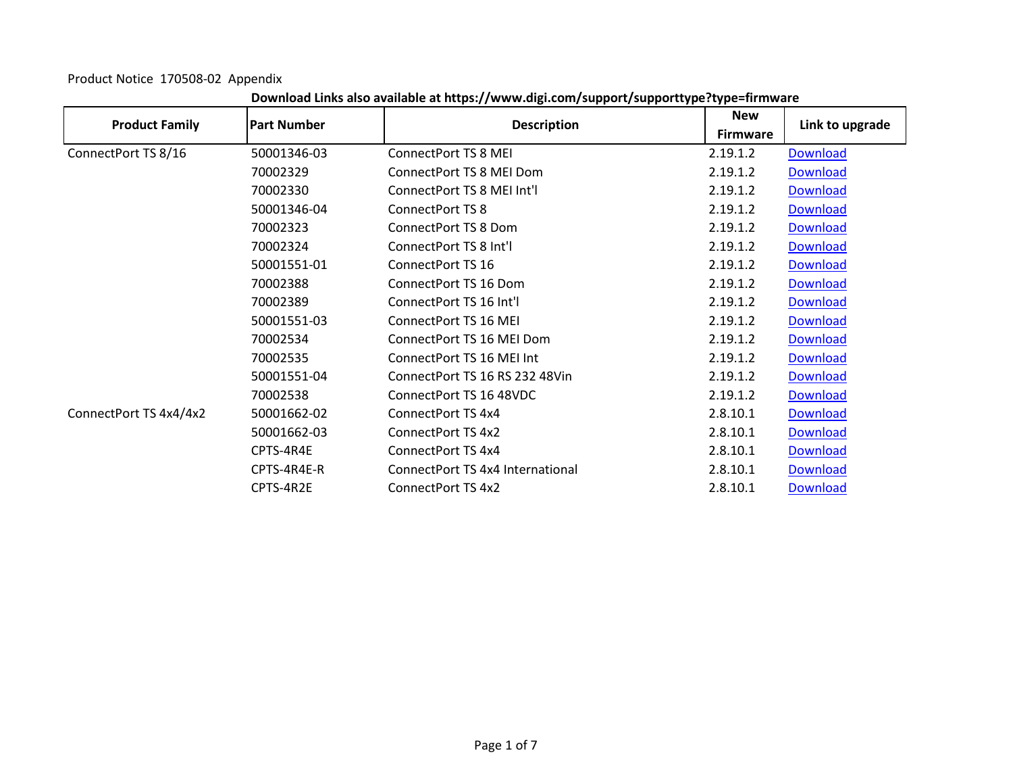Product Notice 170508-02 Appendix

| <b>Product Family</b>  | <b>Part Number</b> | <b>Description</b>               | <b>New</b>      | Link to upgrade |
|------------------------|--------------------|----------------------------------|-----------------|-----------------|
|                        |                    |                                  | <b>Firmware</b> |                 |
| ConnectPort TS 8/16    | 50001346-03        | ConnectPort TS 8 MEI             | 2.19.1.2        | Download        |
|                        | 70002329           | ConnectPort TS 8 MEI Dom         | 2.19.1.2        | Download        |
|                        | 70002330           | ConnectPort TS 8 MEI Int'l       | 2.19.1.2        | <b>Download</b> |
|                        | 50001346-04        | ConnectPort TS 8                 | 2.19.1.2        | <b>Download</b> |
|                        | 70002323           | ConnectPort TS 8 Dom             | 2.19.1.2        | <b>Download</b> |
|                        | 70002324           | ConnectPort TS 8 Int'l           | 2.19.1.2        | <b>Download</b> |
|                        | 50001551-01        | ConnectPort TS 16                | 2.19.1.2        | <b>Download</b> |
|                        | 70002388           | ConnectPort TS 16 Dom            | 2.19.1.2        | <b>Download</b> |
|                        | 70002389           | ConnectPort TS 16 Int'l          | 2.19.1.2        | <b>Download</b> |
|                        | 50001551-03        | ConnectPort TS 16 MEI            | 2.19.1.2        | Download        |
|                        | 70002534           | ConnectPort TS 16 MEI Dom        | 2.19.1.2        | <b>Download</b> |
|                        | 70002535           | ConnectPort TS 16 MEI Int        | 2.19.1.2        | <b>Download</b> |
|                        | 50001551-04        | ConnectPort TS 16 RS 232 48Vin   | 2.19.1.2        | <b>Download</b> |
|                        | 70002538           | ConnectPort TS 16 48VDC          | 2.19.1.2        | Download        |
| ConnectPort TS 4x4/4x2 | 50001662-02        | ConnectPort TS 4x4               | 2.8.10.1        | <b>Download</b> |
|                        | 50001662-03        | ConnectPort TS 4x2               | 2.8.10.1        | Download        |
|                        | CPTS-4R4E          | ConnectPort TS 4x4               | 2.8.10.1        | <b>Download</b> |
|                        | CPTS-4R4E-R        | ConnectPort TS 4x4 International | 2.8.10.1        | <b>Download</b> |
|                        | CPTS-4R2E          | ConnectPort TS 4x2               | 2.8.10.1        | <b>Download</b> |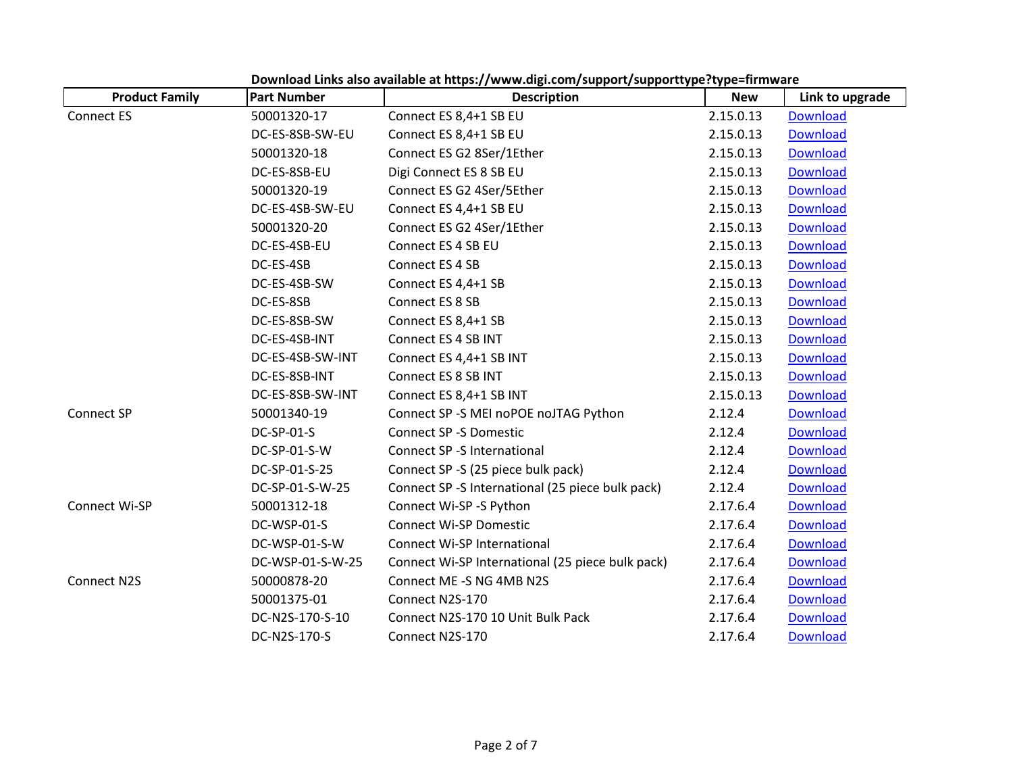| <b>Product Family</b> | <b>Part Number</b> | <b>Description</b>                               | <b>New</b> | Link to upgrade |
|-----------------------|--------------------|--------------------------------------------------|------------|-----------------|
| <b>Connect ES</b>     | 50001320-17        | Connect ES 8,4+1 SB EU                           | 2.15.0.13  | <b>Download</b> |
|                       | DC-ES-8SB-SW-EU    | Connect ES 8,4+1 SB EU                           | 2.15.0.13  | <b>Download</b> |
|                       | 50001320-18        | Connect ES G2 8Ser/1Ether                        | 2.15.0.13  | <b>Download</b> |
|                       | DC-ES-8SB-EU       | Digi Connect ES 8 SB EU                          | 2.15.0.13  | <b>Download</b> |
|                       | 50001320-19        | Connect ES G2 4Ser/5Ether                        | 2.15.0.13  | <b>Download</b> |
|                       | DC-ES-4SB-SW-EU    | Connect ES 4,4+1 SB EU                           | 2.15.0.13  | <b>Download</b> |
|                       | 50001320-20        | Connect ES G2 4Ser/1Ether                        | 2.15.0.13  | <b>Download</b> |
|                       | DC-ES-4SB-EU       | Connect ES 4 SB EU                               | 2.15.0.13  | <b>Download</b> |
|                       | DC-ES-4SB          | Connect ES 4 SB                                  | 2.15.0.13  | Download        |
|                       | DC-ES-4SB-SW       | Connect ES 4,4+1 SB                              | 2.15.0.13  | <b>Download</b> |
|                       | DC-ES-8SB          | Connect ES 8 SB                                  | 2.15.0.13  | <b>Download</b> |
|                       | DC-ES-8SB-SW       | Connect ES 8,4+1 SB                              | 2.15.0.13  | <b>Download</b> |
|                       | DC-ES-4SB-INT      | Connect ES 4 SB INT                              | 2.15.0.13  | <b>Download</b> |
|                       | DC-ES-4SB-SW-INT   | Connect ES 4,4+1 SB INT                          | 2.15.0.13  | <b>Download</b> |
|                       | DC-ES-8SB-INT      | Connect ES 8 SB INT                              | 2.15.0.13  | <b>Download</b> |
|                       | DC-ES-8SB-SW-INT   | Connect ES 8,4+1 SB INT                          | 2.15.0.13  | <b>Download</b> |
| Connect SP            | 50001340-19        | Connect SP -S MEI noPOE noJTAG Python            | 2.12.4     | <b>Download</b> |
|                       | <b>DC-SP-01-S</b>  | <b>Connect SP -S Domestic</b>                    | 2.12.4     | <b>Download</b> |
|                       | DC-SP-01-S-W       | Connect SP -S International                      | 2.12.4     | <b>Download</b> |
|                       | DC-SP-01-S-25      | Connect SP -S (25 piece bulk pack)               | 2.12.4     | <b>Download</b> |
|                       | DC-SP-01-S-W-25    | Connect SP -S International (25 piece bulk pack) | 2.12.4     | Download        |
| Connect Wi-SP         | 50001312-18        | Connect Wi-SP -S Python                          | 2.17.6.4   | <b>Download</b> |
|                       | DC-WSP-01-S        | <b>Connect Wi-SP Domestic</b>                    | 2.17.6.4   | <b>Download</b> |
|                       | DC-WSP-01-S-W      | Connect Wi-SP International                      | 2.17.6.4   | <b>Download</b> |
|                       | DC-WSP-01-S-W-25   | Connect Wi-SP International (25 piece bulk pack) | 2.17.6.4   | <b>Download</b> |
| <b>Connect N2S</b>    | 50000878-20        | Connect ME -S NG 4MB N2S                         | 2.17.6.4   | <b>Download</b> |
|                       | 50001375-01        | Connect N2S-170                                  | 2.17.6.4   | <b>Download</b> |
|                       | DC-N2S-170-S-10    | Connect N2S-170 10 Unit Bulk Pack                | 2.17.6.4   | <b>Download</b> |
|                       | DC-N2S-170-S       | Connect N2S-170                                  | 2.17.6.4   | <b>Download</b> |

**Download Links also available at https:/[/www.digi.com/support/supporttype?type=firmware](http://www.digi.com/support/supporttype?type=firmware)**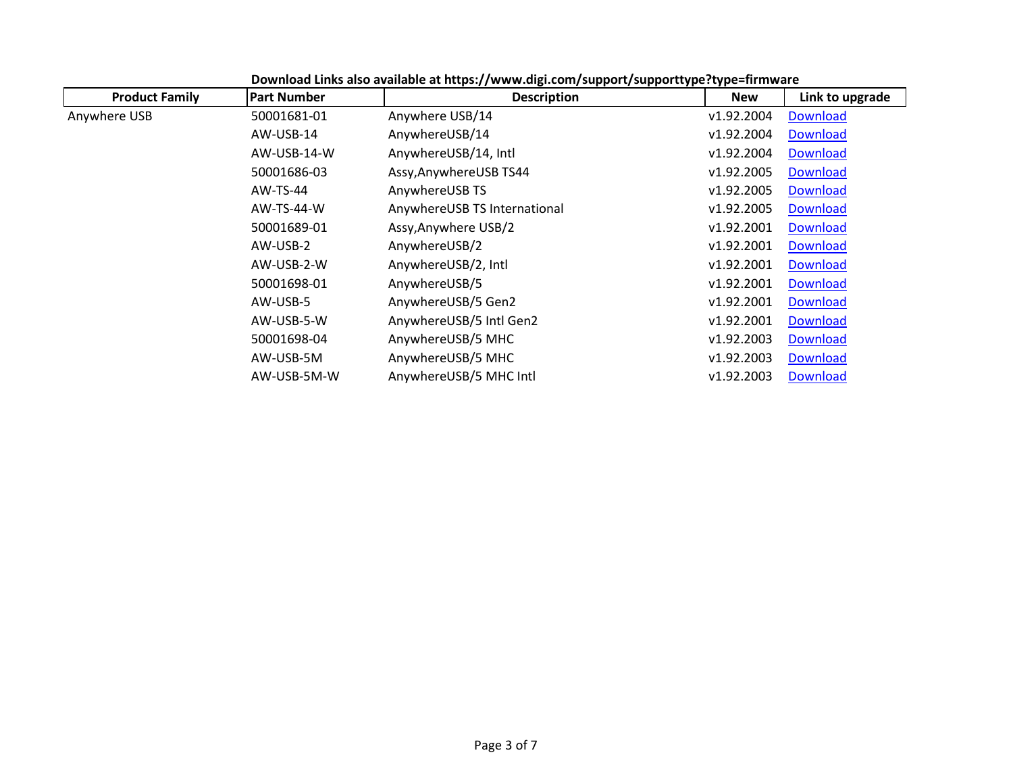| <b>Product Family</b> | <b>Part Number</b> | <b>Description</b>           | <b>New</b> | Link to upgrade |
|-----------------------|--------------------|------------------------------|------------|-----------------|
| Anywhere USB          | 50001681-01        | Anywhere USB/14              | v1.92.2004 | <b>Download</b> |
|                       | AW-USB-14          | AnywhereUSB/14               | v1.92.2004 | Download        |
|                       | AW-USB-14-W        | AnywhereUSB/14, Intl         | v1.92.2004 | <b>Download</b> |
|                       | 50001686-03        | Assy, AnywhereUSB TS44       | v1.92.2005 | <b>Download</b> |
|                       | $AW-TS-44$         | AnywhereUSB TS               | v1.92.2005 | <b>Download</b> |
|                       | AW-TS-44-W         | AnywhereUSB TS International | v1.92.2005 | <b>Download</b> |
|                       | 50001689-01        | Assy, Anywhere USB/2         | v1.92.2001 | <b>Download</b> |
|                       | AW-USB-2           | AnywhereUSB/2                | v1.92.2001 | <b>Download</b> |
|                       | AW-USB-2-W         | AnywhereUSB/2, Intl          | v1.92.2001 | <b>Download</b> |
|                       | 50001698-01        | AnywhereUSB/5                | v1.92.2001 | <b>Download</b> |
|                       | AW-USB-5           | AnywhereUSB/5 Gen2           | v1.92.2001 | <b>Download</b> |
|                       | AW-USB-5-W         | AnywhereUSB/5 Intl Gen2      | v1.92.2001 | <b>Download</b> |
|                       | 50001698-04        | AnywhereUSB/5 MHC            | v1.92.2003 | <b>Download</b> |
|                       | AW-USB-5M          | AnywhereUSB/5 MHC            | v1.92.2003 | <b>Download</b> |
|                       | AW-USB-5M-W        | AnywhereUSB/5 MHC Intl       | v1.92.2003 | <b>Download</b> |

**Download Links also available at https:/[/www.digi.com/support/supporttype?type=firmware](http://www.digi.com/support/supporttype?type=firmware)**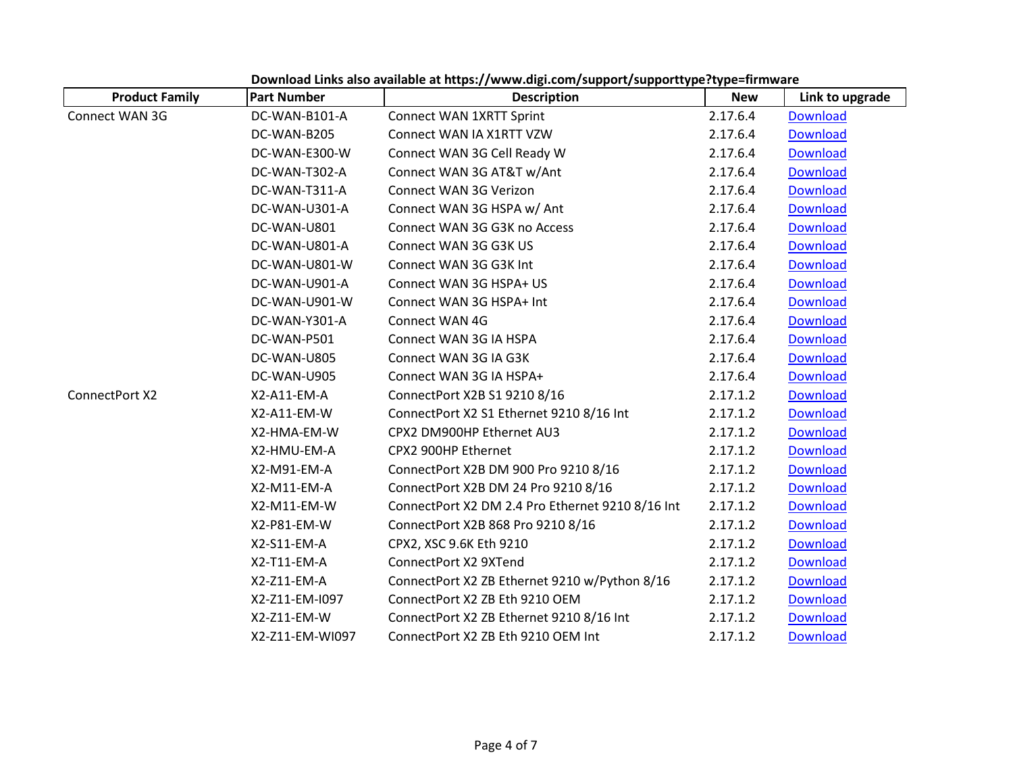| <b>Product Family</b> | <b>Part Number</b> | <b>Description</b>                               | <b>New</b> | Link to upgrade |
|-----------------------|--------------------|--------------------------------------------------|------------|-----------------|
| Connect WAN 3G        | DC-WAN-B101-A      | Connect WAN 1XRTT Sprint                         | 2.17.6.4   | <b>Download</b> |
|                       | DC-WAN-B205        | Connect WAN IA X1RTT VZW                         | 2.17.6.4   | <b>Download</b> |
|                       | DC-WAN-E300-W      | Connect WAN 3G Cell Ready W                      | 2.17.6.4   | <b>Download</b> |
|                       | DC-WAN-T302-A      | Connect WAN 3G AT&T w/Ant                        | 2.17.6.4   | <b>Download</b> |
|                       | DC-WAN-T311-A      | Connect WAN 3G Verizon                           | 2.17.6.4   | <b>Download</b> |
|                       | DC-WAN-U301-A      | Connect WAN 3G HSPA w/ Ant                       | 2.17.6.4   | <b>Download</b> |
|                       | DC-WAN-U801        | Connect WAN 3G G3K no Access                     | 2.17.6.4   | <b>Download</b> |
|                       | DC-WAN-U801-A      | Connect WAN 3G G3K US                            | 2.17.6.4   | <b>Download</b> |
|                       | DC-WAN-U801-W      | Connect WAN 3G G3K Int                           | 2.17.6.4   | <b>Download</b> |
|                       | DC-WAN-U901-A      | Connect WAN 3G HSPA+ US                          | 2.17.6.4   | <b>Download</b> |
|                       | DC-WAN-U901-W      | Connect WAN 3G HSPA+ Int                         | 2.17.6.4   | <b>Download</b> |
|                       | DC-WAN-Y301-A      | Connect WAN 4G                                   | 2.17.6.4   | <b>Download</b> |
|                       | DC-WAN-P501        | Connect WAN 3G IA HSPA                           | 2.17.6.4   | <b>Download</b> |
|                       | DC-WAN-U805        | Connect WAN 3G IA G3K                            | 2.17.6.4   | <b>Download</b> |
|                       | DC-WAN-U905        | Connect WAN 3G IA HSPA+                          | 2.17.6.4   | <b>Download</b> |
| ConnectPort X2        | X2-A11-EM-A        | ConnectPort X2B S1 9210 8/16                     | 2.17.1.2   | <b>Download</b> |
|                       | X2-A11-EM-W        | ConnectPort X2 S1 Ethernet 9210 8/16 Int         | 2.17.1.2   | <b>Download</b> |
|                       | X2-HMA-EM-W        | CPX2 DM900HP Ethernet AU3                        | 2.17.1.2   | <b>Download</b> |
|                       | X2-HMU-EM-A        | CPX2 900HP Ethernet                              | 2.17.1.2   | <b>Download</b> |
|                       | X2-M91-EM-A        | ConnectPort X2B DM 900 Pro 9210 8/16             | 2.17.1.2   | <b>Download</b> |
|                       | X2-M11-EM-A        | ConnectPort X2B DM 24 Pro 9210 8/16              | 2.17.1.2   | <b>Download</b> |
|                       | X2-M11-EM-W        | ConnectPort X2 DM 2.4 Pro Ethernet 9210 8/16 Int | 2.17.1.2   | <b>Download</b> |
|                       | X2-P81-EM-W        | ConnectPort X2B 868 Pro 9210 8/16                | 2.17.1.2   | <b>Download</b> |
|                       | X2-S11-EM-A        | CPX2, XSC 9.6K Eth 9210                          | 2.17.1.2   | <b>Download</b> |
|                       | X2-T11-EM-A        | ConnectPort X2 9XTend                            | 2.17.1.2   | <b>Download</b> |
|                       | X2-Z11-EM-A        | ConnectPort X2 ZB Ethernet 9210 w/Python 8/16    | 2.17.1.2   | <b>Download</b> |
|                       | X2-Z11-EM-I097     | ConnectPort X2 ZB Eth 9210 OEM                   | 2.17.1.2   | <b>Download</b> |
|                       | X2-Z11-EM-W        | ConnectPort X2 ZB Ethernet 9210 8/16 Int         | 2.17.1.2   | <b>Download</b> |
|                       | X2-Z11-EM-WI097    | ConnectPort X2 ZB Eth 9210 OEM Int               | 2.17.1.2   | <b>Download</b> |

**Download Links also available at https:/[/www.digi.com/support/supporttype?type=firmware](http://www.digi.com/support/supporttype?type=firmware)**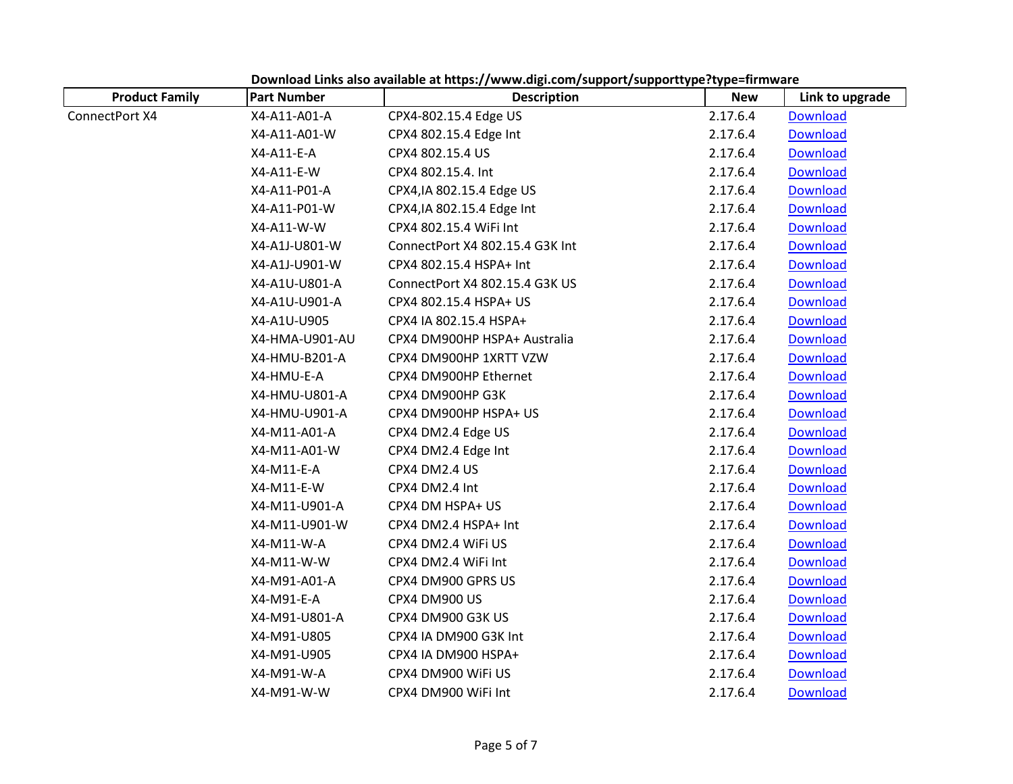| <b>Product Family</b> | <b>Part Number</b> | <b>Description</b>              | <b>New</b> | Link to upgrade |
|-----------------------|--------------------|---------------------------------|------------|-----------------|
| ConnectPort X4        | X4-A11-A01-A       | CPX4-802.15.4 Edge US           | 2.17.6.4   | <b>Download</b> |
|                       | X4-A11-A01-W       | CPX4 802.15.4 Edge Int          | 2.17.6.4   | <b>Download</b> |
|                       | X4-A11-E-A         | CPX4 802.15.4 US                | 2.17.6.4   | <b>Download</b> |
|                       | X4-A11-E-W         | CPX4 802.15.4. Int              | 2.17.6.4   | <b>Download</b> |
|                       | X4-A11-P01-A       | CPX4, IA 802.15.4 Edge US       | 2.17.6.4   | <b>Download</b> |
|                       | X4-A11-P01-W       | CPX4, IA 802.15.4 Edge Int      | 2.17.6.4   | Download        |
|                       | X4-A11-W-W         | CPX4 802.15.4 WiFi Int          | 2.17.6.4   | Download        |
|                       | X4-A1J-U801-W      | ConnectPort X4 802.15.4 G3K Int | 2.17.6.4   | <b>Download</b> |
|                       | X4-A1J-U901-W      | CPX4 802.15.4 HSPA+ Int         | 2.17.6.4   | Download        |
|                       | X4-A1U-U801-A      | ConnectPort X4 802.15.4 G3K US  | 2.17.6.4   | <b>Download</b> |
|                       | X4-A1U-U901-A      | CPX4 802.15.4 HSPA+ US          | 2.17.6.4   | <b>Download</b> |
|                       | X4-A1U-U905        | CPX4 IA 802.15.4 HSPA+          | 2.17.6.4   | <b>Download</b> |
|                       | X4-HMA-U901-AU     | CPX4 DM900HP HSPA+ Australia    | 2.17.6.4   | <b>Download</b> |
|                       | X4-HMU-B201-A      | CPX4 DM900HP 1XRTT VZW          | 2.17.6.4   | <b>Download</b> |
|                       | X4-HMU-E-A         | CPX4 DM900HP Ethernet           | 2.17.6.4   | <b>Download</b> |
|                       | X4-HMU-U801-A      | CPX4 DM900HP G3K                | 2.17.6.4   | <b>Download</b> |
|                       | X4-HMU-U901-A      | CPX4 DM900HP HSPA+ US           | 2.17.6.4   | Download        |
|                       | X4-M11-A01-A       | CPX4 DM2.4 Edge US              | 2.17.6.4   | <b>Download</b> |
|                       | X4-M11-A01-W       | CPX4 DM2.4 Edge Int             | 2.17.6.4   | <b>Download</b> |
|                       | X4-M11-E-A         | CPX4 DM2.4 US                   | 2.17.6.4   | <b>Download</b> |
|                       | X4-M11-E-W         | CPX4 DM2.4 Int                  | 2.17.6.4   | <b>Download</b> |
|                       | X4-M11-U901-A      | CPX4 DM HSPA+ US                | 2.17.6.4   | <b>Download</b> |
|                       | X4-M11-U901-W      | CPX4 DM2.4 HSPA+ Int            | 2.17.6.4   | <b>Download</b> |
|                       | X4-M11-W-A         | CPX4 DM2.4 WiFi US              | 2.17.6.4   | <b>Download</b> |
|                       | X4-M11-W-W         | CPX4 DM2.4 WiFi Int             | 2.17.6.4   | <b>Download</b> |
|                       | X4-M91-A01-A       | CPX4 DM900 GPRS US              | 2.17.6.4   | <b>Download</b> |
|                       | X4-M91-E-A         | CPX4 DM900 US                   | 2.17.6.4   | <b>Download</b> |
|                       | X4-M91-U801-A      | CPX4 DM900 G3K US               | 2.17.6.4   | <b>Download</b> |
|                       | X4-M91-U805        | CPX4 IA DM900 G3K Int           | 2.17.6.4   | Download        |
|                       | X4-M91-U905        | CPX4 IA DM900 HSPA+             | 2.17.6.4   | <b>Download</b> |
|                       | X4-M91-W-A         | CPX4 DM900 WiFi US              | 2.17.6.4   | <b>Download</b> |
|                       | X4-M91-W-W         | CPX4 DM900 WiFi Int             | 2.17.6.4   | <b>Download</b> |

**Download Links also available at https:/[/www.digi.com/support/supporttype?type=firmware](http://www.digi.com/support/supporttype?type=firmware)**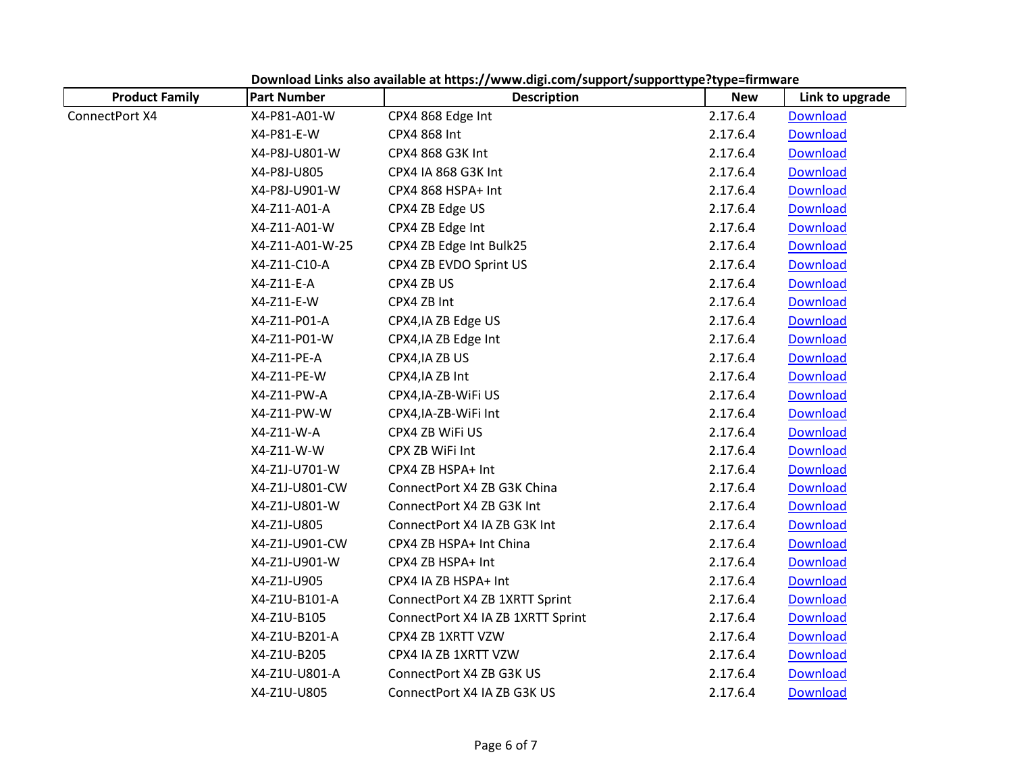| <b>Product Family</b> | <b>Part Number</b> | <b>Description</b>                | <b>New</b> | Link to upgrade |
|-----------------------|--------------------|-----------------------------------|------------|-----------------|
| ConnectPort X4        | X4-P81-A01-W       | CPX4 868 Edge Int                 | 2.17.6.4   | <b>Download</b> |
|                       | X4-P81-E-W         | CPX4 868 Int                      | 2.17.6.4   | <b>Download</b> |
|                       | X4-P8J-U801-W      | CPX4 868 G3K Int                  | 2.17.6.4   | <b>Download</b> |
|                       | X4-P8J-U805        | CPX4 IA 868 G3K Int               | 2.17.6.4   | <b>Download</b> |
|                       | X4-P8J-U901-W      | CPX4 868 HSPA+ Int                | 2.17.6.4   | <b>Download</b> |
|                       | X4-Z11-A01-A       | CPX4 ZB Edge US                   | 2.17.6.4   | Download        |
|                       | X4-Z11-A01-W       | CPX4 ZB Edge Int                  | 2.17.6.4   | <b>Download</b> |
|                       | X4-Z11-A01-W-25    | CPX4 ZB Edge Int Bulk25           | 2.17.6.4   | <b>Download</b> |
|                       | X4-Z11-C10-A       | CPX4 ZB EVDO Sprint US            | 2.17.6.4   | <b>Download</b> |
|                       | X4-Z11-E-A         | CPX4 ZB US                        | 2.17.6.4   | <b>Download</b> |
|                       | X4-Z11-E-W         | CPX4 ZB Int                       | 2.17.6.4   | <b>Download</b> |
|                       | X4-Z11-P01-A       | CPX4, IA ZB Edge US               | 2.17.6.4   | <b>Download</b> |
|                       | X4-Z11-P01-W       | CPX4, IA ZB Edge Int              | 2.17.6.4   | Download        |
|                       | X4-Z11-PE-A        | CPX4, IA ZB US                    | 2.17.6.4   | <b>Download</b> |
|                       | X4-Z11-PE-W        | CPX4, IA ZB Int                   | 2.17.6.4   | <b>Download</b> |
|                       | X4-Z11-PW-A        | CPX4, IA-ZB-WIFI US               | 2.17.6.4   | <b>Download</b> |
|                       | X4-Z11-PW-W        | CPX4, IA-ZB-WiFi Int              | 2.17.6.4   | <b>Download</b> |
|                       | X4-Z11-W-A         | CPX4 ZB WiFi US                   | 2.17.6.4   | <b>Download</b> |
|                       | X4-Z11-W-W         | CPX ZB WiFi Int                   | 2.17.6.4   | <b>Download</b> |
|                       | X4-Z1J-U701-W      | CPX4 ZB HSPA+ Int                 | 2.17.6.4   | <b>Download</b> |
|                       | X4-Z1J-U801-CW     | ConnectPort X4 ZB G3K China       | 2.17.6.4   | <b>Download</b> |
|                       | X4-Z1J-U801-W      | ConnectPort X4 ZB G3K Int         | 2.17.6.4   | <b>Download</b> |
|                       | X4-Z1J-U805        | ConnectPort X4 IA ZB G3K Int      | 2.17.6.4   | <b>Download</b> |
|                       | X4-Z1J-U901-CW     | CPX4 ZB HSPA+ Int China           | 2.17.6.4   | <b>Download</b> |
|                       | X4-Z1J-U901-W      | CPX4 ZB HSPA+ Int                 | 2.17.6.4   | <b>Download</b> |
|                       | X4-Z1J-U905        | CPX4 IA ZB HSPA+ Int              | 2.17.6.4   | <b>Download</b> |
|                       | X4-Z1U-B101-A      | ConnectPort X4 ZB 1XRTT Sprint    | 2.17.6.4   | <b>Download</b> |
|                       | X4-Z1U-B105        | ConnectPort X4 IA ZB 1XRTT Sprint | 2.17.6.4   | <b>Download</b> |
|                       | X4-Z1U-B201-A      | CPX4 ZB 1XRTT VZW                 | 2.17.6.4   | <b>Download</b> |
|                       | X4-Z1U-B205        | CPX4 IA ZB 1XRTT VZW              | 2.17.6.4   | <b>Download</b> |
|                       | X4-Z1U-U801-A      | ConnectPort X4 ZB G3K US          | 2.17.6.4   | <b>Download</b> |
|                       | X4-Z1U-U805        | ConnectPort X4 IA ZB G3K US       | 2.17.6.4   | <b>Download</b> |

**Download Links also available at https:/[/www.digi.com/support/supporttype?type=firmware](http://www.digi.com/support/supporttype?type=firmware)**